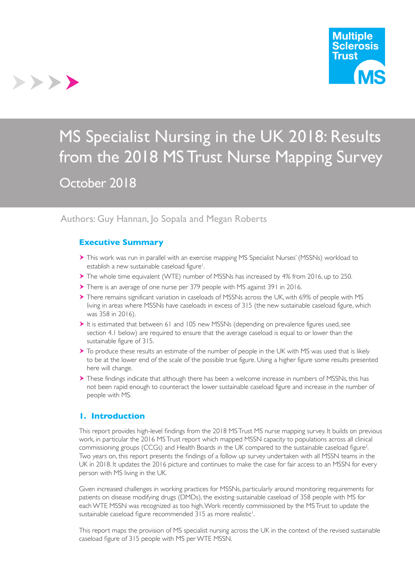

# MS Specialist Nursing in the UK 2018: Results from the 2018 MS Trust Nurse Mapping Survey October 2018

## Authors: Guy Hannan, Jo Sopala and Megan Roberts

#### **Executive Summary**

>>>>

- This work was run in parallel with an exercise mapping MS Specialist Nurses' (MSSNs) workload to establish a new sustainable caseload figure<sup>1</sup>.
- The whole time equivalent (WTE) number of MSSNs has increased by 4% from 2016, up to 250.
- There is an average of one nurse per 379 people with MS against 391 in 2016.
- There remains significant variation in caseloads of MSSNs across the UK, with 69% of people with MS living in areas where MSSNs have caseloads in excess of 315 (the new sustainable caseload figure, which was 358 in 2016).
- It is estimated that between 61 and 105 new MSSNs (depending on prevalence figures used, see section 4.1 below) are required to ensure that the average caseload is equal to or lower than the sustainable figure of 315.
- To produce these results an estimate of the number of people in the UK with MS was used that is likely to be at the lower end of the scale of the possible true figure. Using a higher figure some results presented here will change.
- These findings indicate that although there has been a welcome increase in numbers of MSSNs, this has not been rapid enough to counteract the lower sustainable caseload figure and increase in the number of people with MS.

## **1. Introduction**

This report provides high-level findings from the 2018 MS Trust MS nurse mapping survey. It builds on previous work, in particular the 2016 MS Trust report which mapped MSSN capacity to populations across all clinical commissioning groups (CCGs) and Health Boards in the UK compared to the sustainable caseload figure<sup>2</sup>. Two years on, this report presents the findings of a follow up survey undertaken with all MSSN teams in the UK in 2018. It updates the 2016 picture and continues to make the case for fair access to an MSSN for every person with MS living in the UK.

Given increased challenges in working practices for MSSNs, particularly around monitoring requirements for patients on disease modifying drugs (DMDs), the existing sustainable caseload of 358 people with MS for each WTE MSSN was recognized as too high. Work recently commissioned by the MS Trust to update the sustainable caseload figure recommended  $315$  as more realistic<sup>1</sup>.

This report maps the provision of MS specialist nursing across the UK in the context of the revised sustainable caseload figure of 315 people with MS per WTE MSSN.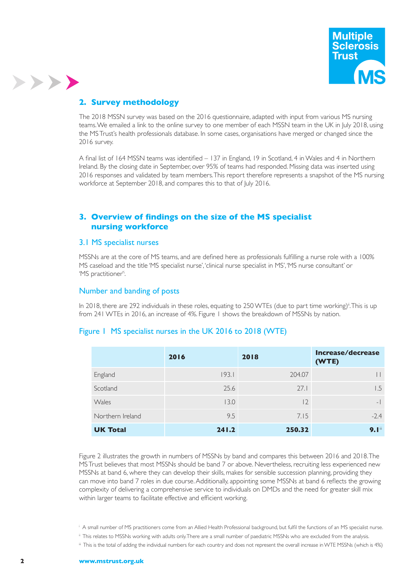

## **2. Survey methodology**

>>>>

The 2018 MSSN survey was based on the 2016 questionnaire, adapted with input from various MS nursing teams. We emailed a link to the online survey to one member of each MSSN team in the UK in July 2018, using the MS Trust's health professionals database. In some cases, organisations have merged or changed since the 2016 survey.

A final list of 164 MSSN teams was identified – 137 in England, 19 in Scotland, 4 in Wales and 4 in Northern Ireland. By the closing date in September, over 95% of teams had responded. Missing data was inserted using 2016 responses and validated by team members. This report therefore represents a snapshot of the MS nursing workforce at September 2018, and compares this to that of July 2016.

## **3. Overview of findings on the size of the MS specialist nursing workforce**

#### 3.1 MS specialist nurses

MSSNs are at the core of MS teams, and are defined here as professionals fulfilling a nurse role with a 100% MS caseload and the title 'MS specialist nurse', 'clinical nurse specialist in MS', 'MS nurse consultant' or 'MS practitioner'i .

#### Number and banding of posts

In 2018, there are 292 individuals in these roles, equating to 250 WTEs (due to part time working)<sup>i</sup>. This is up from 241 WTEs in 2016, an increase of 4%. Figure 1 shows the breakdown of MSSNs by nation.

## Figure 1 MS specialist nurses in the UK 2016 to 2018 (WTE)

|                  | 2016  | 2018   | Increase/decrease<br>(WTE) |
|------------------|-------|--------|----------------------------|
| England          | 193.1 | 204.07 |                            |
| Scotland         | 25.6  | 27.1   | I.5                        |
| Wales            | 13.0  | 2      | $-$                        |
| Northern Ireland | 9.5   | 7.15   | $-2.4$                     |
| <b>UK Total</b>  | 241.2 | 250.32 | 9.1                        |

Figure 2 illustrates the growth in numbers of MSSNs by band and compares this between 2016 and 2018. The MS Trust believes that most MSSNs should be band 7 or above. Nevertheless, recruiting less experienced new MSSNs at band 6, where they can develop their skills, makes for sensible succession planning, providing they can move into band 7 roles in due course. Additionally, appointing some MSSNs at band 6 reflects the growing complexity of delivering a comprehensive service to individuals on DMDs and the need for greater skill mix within larger teams to facilitate effective and efficient working.

- i A small number of MS practitioners come from an Allied Health Professional background, but fulfil the functions of an MS specialist nurse.
- ii This relates to MSSNs working with adults only. There are a small number of paediatric MSSNs who are excluded from the analysis.
- iii This is the total of adding the individual numbers for each country and does not represent the overall increase in WTE MSSNs (which is 4%)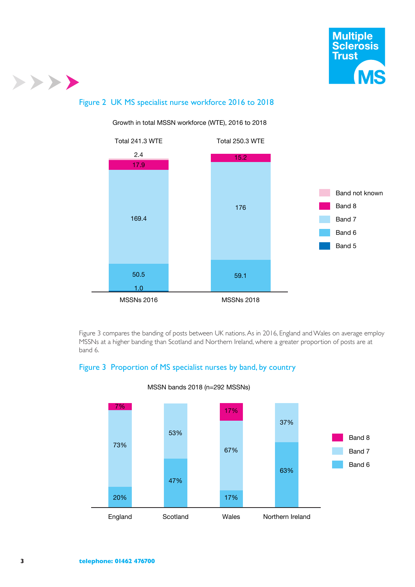

## >>>>

## Figure 2 UK MS specialist nurse workforce 2016 to 2018



Growth in total MSSN workforce (WTE), 2016 to 2018

Figure 3 compares the banding of posts between UK nations. As in 2016, England and Wales on average employ MSSNs at a higher banding than Scotland and Northern Ireland, where a greater proportion of posts are at band 6.

## Figure 3 Proportion of MS specialist nurses by band, by country



#### MSSN bands 2018 (n=292 MSSNs)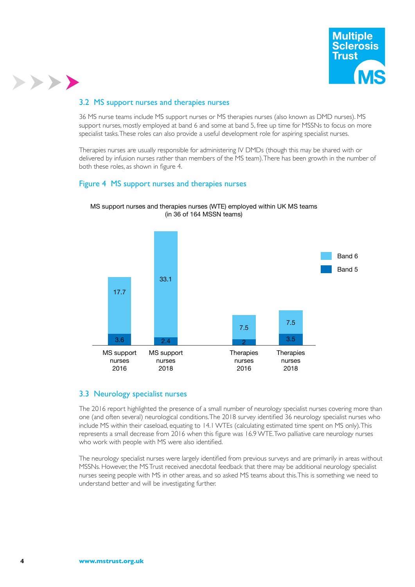

#### 3.2 MS support nurses and therapies nurses

>>>>

36 MS nurse teams include MS support nurses or MS therapies nurses (also known as DMD nurses). MS support nurses, mostly employed at band 6 and some at band 5, free up time for MSSNs to focus on more specialist tasks. These roles can also provide a useful development role for aspiring specialist nurses.

Therapies nurses are usually responsible for administering IV DMDs (though this may be shared with or delivered by infusion nurses rather than members of the MS team). There has been growth in the number of both these roles, as shown in figure 4.

#### Figure 4 MS support nurses and therapies nurses



MS support nurses and therapies nurses (WTE) employed within UK MS teams (in 36 of 164 MSSN teams)

#### 3.3 Neurology specialist nurses

The 2016 report highlighted the presence of a small number of neurology specialist nurses covering more than one (and often several) neurological conditions. The 2018 survey identified 36 neurology specialist nurses who include MS within their caseload, equating to 14.1 WTEs (calculating estimated time spent on MS only). This represents a small decrease from 2016 when this figure was 16.9 WTE. Two palliative care neurology nurses who work with people with MS were also identified.

The neurology specialist nurses were largely identified from previous surveys and are primarily in areas without MSSNs. However, the MS Trust received anecdotal feedback that there may be additional neurology specialist nurses seeing people with MS in other areas, and so asked MS teams about this. This is something we need to understand better and will be investigating further.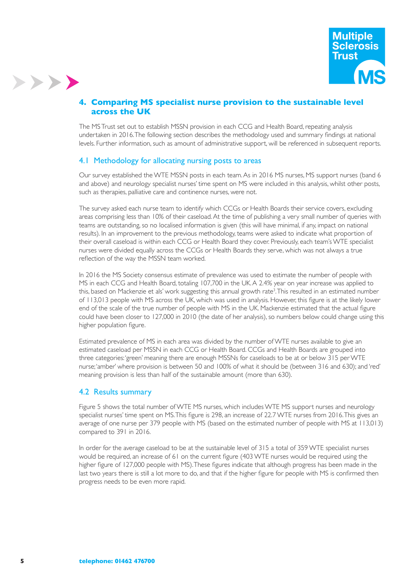

#### **4. Comparing MS specialist nurse provision to the sustainable level across the UK**

The MS Trust set out to establish MSSN provision in each CCG and Health Board, repeating analysis undertaken in 2016. The following section describes the methodology used and summary findings at national levels. Further information, such as amount of administrative support, will be referenced in subsequent reports.

#### 4.1 Methodology for allocating nursing posts to areas

Our survey established the WTE MSSN posts in each team. As in 2016 MS nurses, MS support nurses (band 6 and above) and neurology specialist nurses' time spent on MS were included in this analysis, whilst other posts, such as therapies, palliative care and continence nurses, were not.

The survey asked each nurse team to identify which CCGs or Health Boards their service covers, excluding areas comprising less than 10% of their caseload. At the time of publishing a very small number of queries with teams are outstanding, so no localised information is given (this will have minimal, if any, impact on national results). In an improvement to the previous methodology, teams were asked to indicate what proportion of their overall caseload is within each CCG or Health Board they cover. Previously, each team's WTE specialist nurses were divided equally across the CCGs or Health Boards they serve, which was not always a true reflection of the way the MSSN team worked.

In 2016 the MS Society consensus estimate of prevalence was used to estimate the number of people with MS in each CCG and Health Board, totaling 107,700 in the UK. A 2.4% year on year increase was applied to this, based on Mackenzie et als' work suggesting this annual growth rate<sup>3</sup>.This resulted in an estimated number of 113,013 people with MS across the UK, which was used in analysis. However, this figure is at the likely lower end of the scale of the true number of people with MS in the UK. Mackenzie estimated that the actual figure could have been closer to 127,000 in 2010 (the date of her analysis), so numbers below could change using this higher population figure.

Estimated prevalence of MS in each area was divided by the number of WTE nurses available to give an estimated caseload per MSSN in each CCG or Health Board. CCGs and Health Boards are grouped into three categories: 'green' meaning there are enough MSSNs for caseloads to be at or below 315 per WTE nurse; 'amber' where provision is between 50 and 100% of what it should be (between 316 and 630); and 'red' meaning provision is less than half of the sustainable amount (more than 630).

#### 4.2 Results summary

Figure 5 shows the total number of WTE MS nurses, which includes WTE MS support nurses and neurology specialist nurses' time spent on MS. This figure is 298, an increase of 22.7 WTE nurses from 2016. This gives an average of one nurse per 379 people with MS (based on the estimated number of people with MS at 113,013) compared to 391 in 2016.

In order for the average caseload to be at the sustainable level of 315 a total of 359 WTE specialist nurses would be required, an increase of 61 on the current figure (403 WTE nurses would be required using the higher figure of 127,000 people with MS). These figures indicate that although progress has been made in the last two years there is still a lot more to do, and that if the higher figure for people with MS is confirmed then progress needs to be even more rapid.

>>>>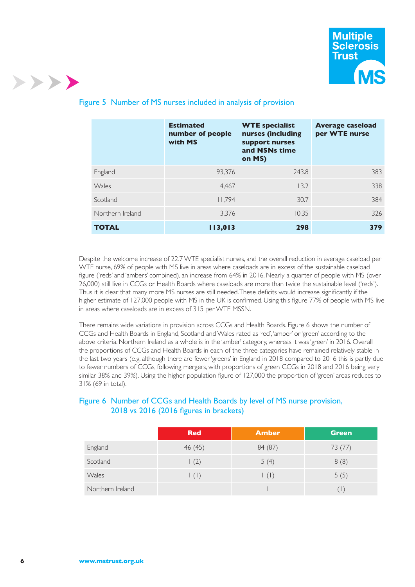

|                  | <b>Estimated</b><br>number of people<br>with MS | <b>WTE specialist</b><br>nurses (including<br>support nurses<br>and NSNs time<br>on MS) | <b>Average caseload</b><br>per WTE nurse |
|------------------|-------------------------------------------------|-----------------------------------------------------------------------------------------|------------------------------------------|
| England          | 93.376                                          | 243.8                                                                                   | 383                                      |
| Wales            | 4.467                                           | 13.2                                                                                    | 338                                      |
| Scotland         | 11.794                                          | 30.7                                                                                    | 384                                      |
| Northern Ireland | 3,376                                           | 10.35                                                                                   | 326                                      |
| <b>TOTAL</b>     | 113,013                                         | 298                                                                                     | 379                                      |

## Figure 5 Number of MS nurses included in analysis of provision

Despite the welcome increase of 22.7 WTE specialist nurses, and the overall reduction in average caseload per WTE nurse, 69% of people with MS live in areas where caseloads are in excess of the sustainable caseload figure ('reds' and 'ambers' combined), an increase from 64% in 2016. Nearly a quarter of people with MS (over 26,000) still live in CCGs or Health Boards where caseloads are more than twice the sustainable level ('reds'). Thus it is clear that many more MS nurses are still needed. These deficits would increase significantly if the higher estimate of 127,000 people with MS in the UK is confirmed. Using this figure 77% of people with MS live in areas where caseloads are in excess of 315 per WTE MSSN.

There remains wide variations in provision across CCGs and Health Boards. Figure 6 shows the number of CCGs and Health Boards in England, Scotland and Wales rated as 'red', 'amber' or 'green' according to the above criteria. Northern Ireland as a whole is in the 'amber' category, whereas it was 'green' in 2016. Overall the proportions of CCGs and Health Boards in each of the three categories have remained relatively stable in the last two years (e.g. although there are fewer 'greens' in England in 2018 compared to 2016 this is partly due to fewer numbers of CCGs, following mergers, with proportions of green CCGs in 2018 and 2016 being very similar 38% and 39%). Using the higher population figure of 127,000 the proportion of 'green' areas reduces to 31% (69 in total).

#### Figure 6 Number of CCGs and Health Boards by level of MS nurse provision, 2018 vs 2016 (2016 figures in brackets)

|                  | <b>Red</b>  | <b>Amber</b>        | Green   |
|------------------|-------------|---------------------|---------|
| England          | 46 (45)     | 84 (87)             | 73 (77) |
| Scotland         | (2)         | 5(4)                | 8(8)    |
| Wales            | $\vert$ (1) | $\vert$ ( $\vert$ ) | 5(5)    |
| Northern Ireland |             |                     |         |

>>>>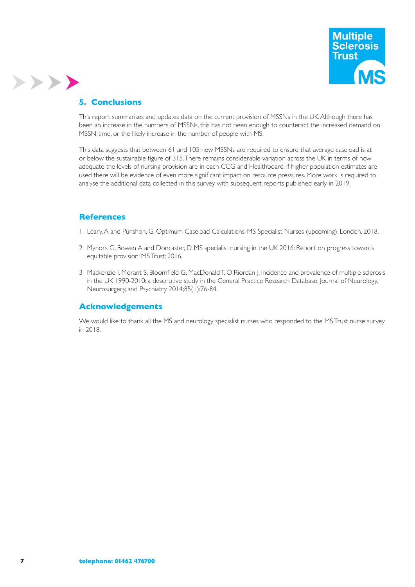

#### **5. Conclusions**

>>>>

This report summarises and updates data on the current provision of MSSNs in the UK. Although there has been an increase in the numbers of MSSNs, this has not been enough to counteract the increased demand on MSSN time, or the likely increase in the number of people with MS.

This data suggests that between 61 and 105 new MSSNs are required to ensure that average caseload is at or below the sustainable figure of 315. There remains considerable variation across the UK in terms of how adequate the levels of nursing provision are in each CCG and Healthboard. If higher population estimates are used there will be evidence of even more significant impact on resource pressures. More work is required to analyse the additional data collected in this survey with subsequent reports published early in 2019.

#### **References**

- 1. Leary, A and Punshon, G. Optimum Caseload Calculations: MS Specialist Nurses (upcoming). London, 2018.
- 2. Mynors G, Bowen A and Doncaster, D. MS specialist nursing in the UK 2016: Report on progress towards equitable provision: MS Trust; 2016.
- 3. Mackenzie I, Morant S, Bloomfield G, MacDonald T, O'Riordan J. Incidence and prevalence of multiple sclerosis in the UK 1990-2010: a descriptive study in the General Practice Research Database. Journal of Neurology, Neurosurgery, and Psychiatry. 2014;85(1):76-84.

#### **Acknowledgements**

We would like to thank all the MS and neurology specialist nurses who responded to the MS Trust nurse survey in 2018.